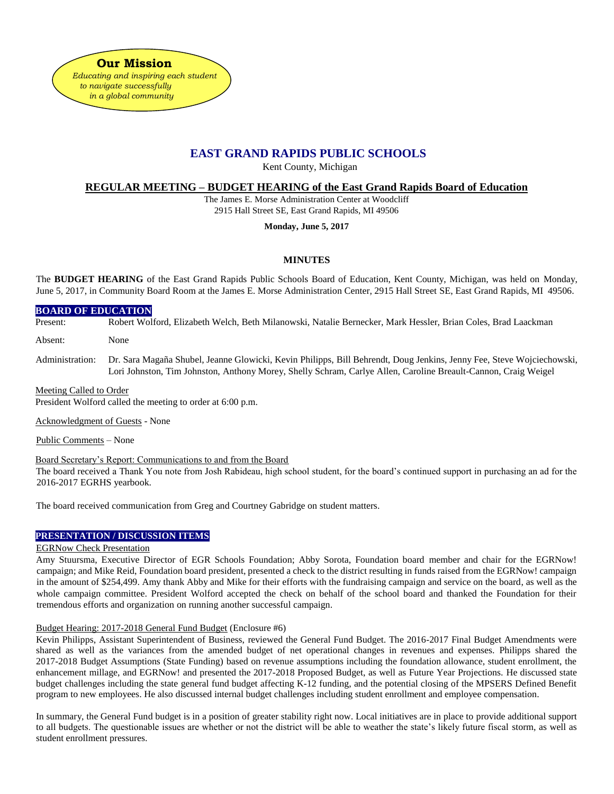**Our Mission**  *Educating and inspiring each student to navigate successfully in a global community*

# **EAST GRAND RAPIDS PUBLIC SCHOOLS**

Kent County, Michigan

# **REGULAR MEETING – BUDGET HEARING of the East Grand Rapids Board of Education**

The James E. Morse Administration Center at Woodcliff 2915 Hall Street SE, East Grand Rapids, MI 49506

**Monday, June 5, 2017**

# **MINUTES**

The **BUDGET HEARING** of the East Grand Rapids Public Schools Board of Education, Kent County, Michigan, was held on Monday, June 5, 2017, in Community Board Room at the James E. Morse Administration Center, 2915 Hall Street SE, East Grand Rapids, MI 49506.

### **BOARD OF EDUCATION**

Present: Robert Wolford, Elizabeth Welch, Beth Milanowski, Natalie Bernecker, Mark Hessler, Brian Coles, Brad Laackman

Absent: None

Administration: Dr. Sara Magaña Shubel, Jeanne Glowicki, Kevin Philipps, Bill Behrendt, Doug Jenkins, Jenny Fee, Steve Wojciechowski, Lori Johnston, Tim Johnston, Anthony Morey, Shelly Schram, Carlye Allen, Caroline Breault-Cannon, Craig Weigel

#### Meeting Called to Order

President Wolford called the meeting to order at 6:00 p.m.

Acknowledgment of Guests - None

Public Comments – None

Board Secretary's Report: Communications to and from the Board

The board received a Thank You note from Josh Rabideau, high school student, for the board's continued support in purchasing an ad for the 2016-2017 EGRHS yearbook.

The board received communication from Greg and Courtney Gabridge on student matters.

# **PRESENTATION / DISCUSSION ITEMS**

#### EGRNow Check Presentation

Amy Stuursma, Executive Director of EGR Schools Foundation; Abby Sorota, Foundation board member and chair for the EGRNow! campaign; and Mike Reid, Foundation board president, presented a check to the district resulting in funds raised from the EGRNow! campaign in the amount of \$254,499. Amy thank Abby and Mike for their efforts with the fundraising campaign and service on the board, as well as the whole campaign committee. President Wolford accepted the check on behalf of the school board and thanked the Foundation for their tremendous efforts and organization on running another successful campaign.

# Budget Hearing: 2017-2018 General Fund Budget (Enclosure #6)

Kevin Philipps, Assistant Superintendent of Business, reviewed the General Fund Budget. The 2016-2017 Final Budget Amendments were shared as well as the variances from the amended budget of net operational changes in revenues and expenses. Philipps shared the 2017-2018 Budget Assumptions (State Funding) based on revenue assumptions including the foundation allowance, student enrollment, the enhancement millage, and EGRNow! and presented the 2017-2018 Proposed Budget, as well as Future Year Projections. He discussed state budget challenges including the state general fund budget affecting K-12 funding, and the potential closing of the MPSERS Defined Benefit program to new employees. He also discussed internal budget challenges including student enrollment and employee compensation.

In summary, the General Fund budget is in a position of greater stability right now. Local initiatives are in place to provide additional support to all budgets. The questionable issues are whether or not the district will be able to weather the state's likely future fiscal storm, as well as student enrollment pressures.